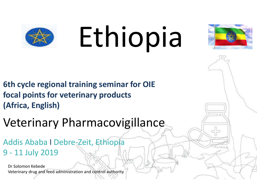

# Ethiopia



- **6th cycle regional training seminar for OIE focal points for veterinary products (Africa, English)**
- Veterinary Pharmacovigillance
- Addis Ababa I Debre-Zeit, Ethiopia 9 - 11 July 2019
	- Dr Solomon Kebede Veterinary drug and feed administration and control authority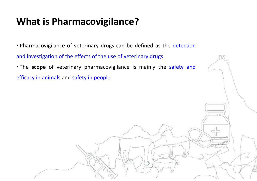# **What is Pharmacovigilance?**

• Pharmacovigilance of veterinary drugs can be defined as the detection and investigation of the effects of the use of veterinary drugs

• The **scope** of veterinary pharmacovigilance is mainly the safety and efficacy in animals and safety in people.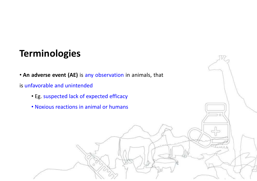# **Terminologies**

• **An adverse event (AE)** is any observation in animals, that

AAA A

is unfavorable and unintended

- Eg. suspected lack of expected efficacy
- Noxious reactions in animal or humans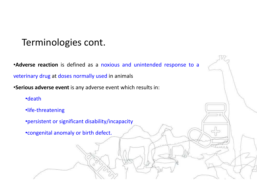# Terminologies cont.

•**Adverse reaction** is defined as <sup>a</sup> noxious and unintended response to <sup>a</sup> veterinary drug at doses normally used in animals

•**Serious adverse event** is any adverse event which results in:

•death

•life-threatening

•persistent or significant disability/incapacity

•congenital anomaly or birth defect.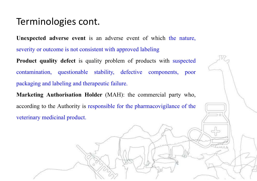#### Terminologies cont.

**Unexpected adverse event** is an adverse event of which the nature, severity or outcome is not consistent with approved labeling

**Product quality defect** is quality problem of products with suspected contamination, questionable stability, defective components, poor packaging and labeling and therapeutic failure.

**Marketing Authorisation Holder** (MAH): the commercial party who, according to the Authority is responsible for the pharmacovigilance of the veterinary medicinal product.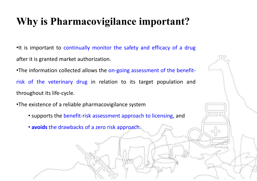# **Why is Pharmacovigilance important?**

•It is important to continually monitor the safety and efficacy of <sup>a</sup> drug after it is granted market authorization.

•The information collected allows the on-going assessment of the benefitrisk of the veterinary drug in relation to its target population and throughout its life-cycle.

•The existence of <sup>a</sup> reliable pharmacovigilance system

- supports the benefit-risk assessment approach to licensing, and
- **avoids** the drawbacks of <sup>a</sup> zero risk approach.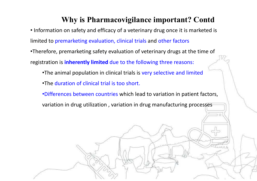#### **Why is Pharmacovigilance important? Contd**

• Information on safety and efficacy of a veterinary drug once it is marketed is limited to premarketing evaluation, clinical trials and other factors •Therefore, premarketing safety evaluation of veterinary drugs at the time of registration is **inherently limited** due to the following three reasons: •The animal population in clinical trials is very selective and limited •The duration of clinical trial is too short. •Differences between countries which lead to variation in patient factors, variation in drug utilization , variation in drug manufacturing processes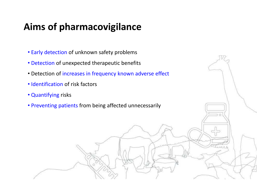# **Aims of pharmacovigilance**

- Early detection of unknown safety problems
- Detection of unexpected therapeutic benefits
- Detection of increases in frequency known adverse effect
- Identification of risk factors
- Quantifying risks
- Preventing patients from being affected unnecessarily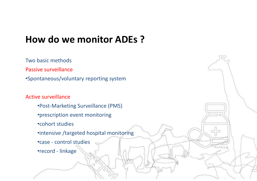# **How do we monitor ADEs ?**

Two basic methodsPassive surveillance •Spontaneous/voluntary reporting system

#### Active surveillance

- •Post-Marketing Surveillance (PMS)
- •prescription event monitoring
- •cohort studies
- •intensive /targeted hospital monitoring
- •case control studies
- •record linkage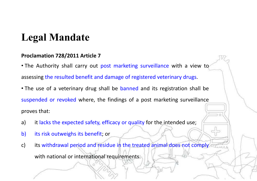# **Legal Mandate**

#### **Proclamation 728/2011 Article 7**

• The Authority shall carry out post marketing surveillance with a view to assessing the resulted benefit and damage of registered veterinary drugs. • The use of a veterinary drug shall be banned and its registration shall be suspended or revoked where, the findings of <sup>a</sup> post marketing surveillance

proves that:

- a) it lacks the expected safety, efficacy or quality for the intended use;
- b) its risk outweighs its benefit; or
- c) its withdrawal period and residue in the treated animal does not comply with national or international requirements.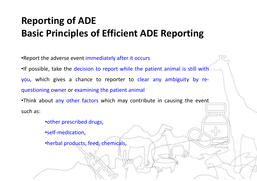# **Reporting of ADE Basic Principles of Efficient ADE Reporting**

•Report the adverse event immediately after it occurs •If possible, take the decision to report while the patient animal is still with you, which gives <sup>a</sup> chance to reporter to clear any ambiguity by re-

questioning owner or examining the patient animal

•Think about any other factors which may contribute in causing the event such as:

•other prescribed drugs,

•self-medication,

•herbal products, feed, chemicals,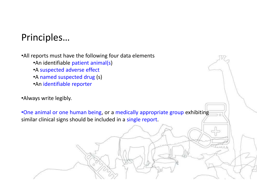# Principles…

•All reports must have the following four data elements

- •An identifiable patient animal(s)
- •A suspected adverse effect
- •A named suspected drug (s)
- •An identifiable reporter
- •Always write legibly.

•One animal or one human being, or <sup>a</sup> medically appropriate group exhibiting similar clinical signs should be included in a single report.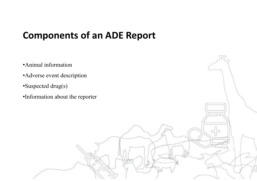# **Components of an ADE Report**

•Animal information •Adverse event description •Suspected drug(s) •Information about the reporter

AAA A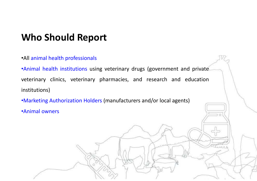# **Who Should Report**

•All animal health professionals

•Animal health institutions using veterinary drugs (government and private veterinary clinics, veterinary pharmacies, and research and education institutions)

•Marketing Authorization Holders (manufacturers and/or local agents)

•Animal owners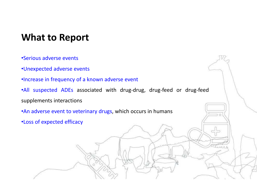# **What to Report**

- •Serious adverse events
- •Unexpected adverse events
- •Increase in frequency of <sup>a</sup> known adverse event
- •All suspected ADEs associated with drug-drug, drug-feed or drug-feed supplements interactions
- •An adverse event to veterinary drugs, which occurs in humans
- •Loss of expected efficacy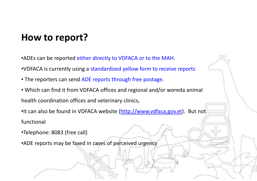# **How to report?**

•ADEs can be reported either directly to VDFACA or to the MAH.

- •VDFACA is currently using a standardized yellow form to receive reports
- The reporters can send ADE reports through free postage.
- Which can find it from VDFACA offices and regional and/or woreda animal health coordination offices and veterinary clinics,

•It can also be found in VDFACA website (http://www.vdfaca.gov.et). But not functional

- •Telephone: 8083 (free call)
- •ADE reports may be faxed in cases of perceived urgency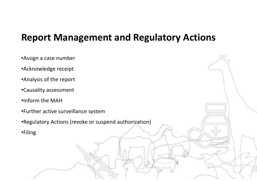#### **Report Management and Regulatory Actions**

| •Assign a case number                                 |  |
|-------------------------------------------------------|--|
| •Acknowledge receipt                                  |  |
| •Analysis of the report                               |  |
| •Causality assessment                                 |  |
| .Inform the MAH                                       |  |
| •Further active surveillance system                   |  |
| •Regulatory Actions (revoke or suspend authorization) |  |
| <b>•Filing</b>                                        |  |
|                                                       |  |
|                                                       |  |
|                                                       |  |
|                                                       |  |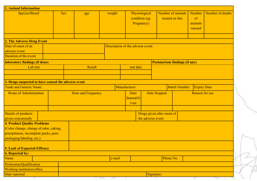| <b>1. Animal Information</b>                        |                              |                                   |                    |        |                                     |                                               |              |                                      |                                             |                                    |                  |  |
|-----------------------------------------------------|------------------------------|-----------------------------------|--------------------|--------|-------------------------------------|-----------------------------------------------|--------------|--------------------------------------|---------------------------------------------|------------------------------------|------------------|--|
| <b>Species/Breed</b>                                |                              | <b>Sex</b>                        | age                | weight |                                     | Physiological<br>condition (eg.<br>Pregnancy) |              | Number of animals<br>treated on this |                                             | Number<br>of<br>animals<br>reacted | Number of deaths |  |
| 2. The Adverse Drug Event                           |                              |                                   |                    |        |                                     |                                               |              |                                      |                                             |                                    |                  |  |
| Date of onset of an                                 |                              |                                   |                    |        |                                     |                                               |              |                                      |                                             |                                    |                  |  |
| adverse event                                       |                              | Description of the adverse event: |                    |        |                                     |                                               |              |                                      |                                             |                                    |                  |  |
| Duration of the event                               |                              |                                   |                    |        |                                     |                                               |              |                                      |                                             |                                    |                  |  |
| laboratory findings (if done)                       |                              |                                   |                    |        | <b>Postmortem findings (if any)</b> |                                               |              |                                      |                                             |                                    |                  |  |
| Lab test                                            |                              |                                   | Result             |        |                                     | test date                                     |              |                                      |                                             |                                    |                  |  |
|                                                     |                              |                                   |                    |        |                                     |                                               |              |                                      |                                             |                                    |                  |  |
|                                                     |                              |                                   |                    |        |                                     |                                               |              |                                      |                                             |                                    |                  |  |
| 3. Drugs suspected to have caused the adverse event |                              |                                   |                    |        |                                     |                                               |              |                                      |                                             |                                    |                  |  |
| <b>Trade and Generic Name:</b>                      |                              |                                   |                    |        |                                     | Manufacturer:                                 |              |                                      | <b>Batch Number:</b><br><b>Expiry Date:</b> |                                    |                  |  |
| <b>Route of Administration</b>                      |                              |                                   | Dose and Frequency |        | Date<br>Started/G<br>iven           |                                               | Date Stopped |                                      | <b>Reason for use</b>                       |                                    |                  |  |
| Details of products                                 |                              |                                   |                    |        |                                     |                                               |              | Drugs given after onset of           |                                             |                                    |                  |  |
| given concurrently                                  |                              |                                   |                    |        |                                     | the adverse event                             |              |                                      |                                             |                                    |                  |  |
| <b>4. Product Quality Problems</b>                  |                              |                                   |                    |        |                                     |                                               |              |                                      |                                             |                                    |                  |  |
| (Color change, change of odor, caking,              |                              |                                   |                    |        |                                     |                                               |              |                                      |                                             |                                    |                  |  |
| precipitation, incomplete packs, poor               |                              |                                   |                    |        |                                     |                                               |              |                                      |                                             |                                    |                  |  |
| packaging/labeling, etc.)                           |                              |                                   |                    |        |                                     |                                               |              |                                      |                                             |                                    |                  |  |
| <b>5. Lack of Expected Efficacy</b>                 |                              |                                   |                    |        |                                     |                                               |              |                                      |                                             |                                    |                  |  |
| <b>6. Reported by:</b>                              |                              |                                   |                    |        |                                     |                                               |              |                                      |                                             |                                    |                  |  |
| Name                                                |                              |                                   |                    | e-mail | Phone No.                           |                                               |              |                                      |                                             |                                    |                  |  |
| Profession/Qualification                            |                              |                                   |                    |        |                                     |                                               |              |                                      |                                             |                                    |                  |  |
| Working institution/office                          |                              |                                   |                    |        |                                     |                                               |              |                                      |                                             |                                    |                  |  |
| Date reported<br>L                                  | Signature:<br>171<br>11<br>L |                                   |                    |        |                                     |                                               |              |                                      |                                             | 11                                 |                  |  |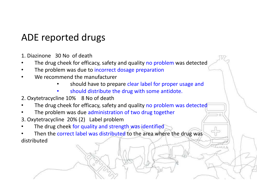# ADE reported drugs

- 1. Diazinone 30 No of death
- •The drug cheek for efficacy, safety and quality no problem was detected
- •The problem was due to incorrect dosage preparation
- • We recommend the manufacturer
	- •should have to prepare clear label for proper usage and
	- •should distribute the drug with some antidote.
- 2. Oxytetracycline 10% 8 No of death
- •The drug cheek for efficacy, safety and quality no problem was detected
- •The problem was due administration of two drug together
- 3. Oxytetracycline 20% (2) Label problem
- •The drug cheek for quality and strength was identified
- •Then the correct label was distributed to the area where the drug was distributed